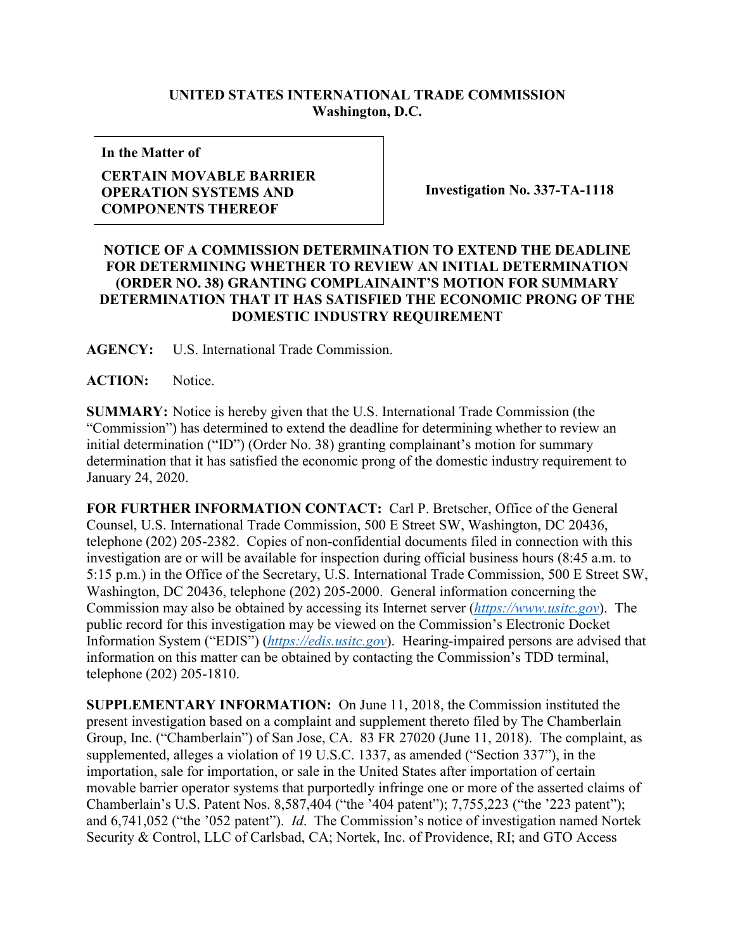## **UNITED STATES INTERNATIONAL TRADE COMMISSION Washington, D.C.**

**In the Matter of**

## **CERTAIN MOVABLE BARRIER OPERATION SYSTEMS AND COMPONENTS THEREOF**

**Investigation No. 337-TA-1118**

## **NOTICE OF A COMMISSION DETERMINATION TO EXTEND THE DEADLINE FOR DETERMINING WHETHER TO REVIEW AN INITIAL DETERMINATION (ORDER NO. 38) GRANTING COMPLAINAINT'S MOTION FOR SUMMARY DETERMINATION THAT IT HAS SATISFIED THE ECONOMIC PRONG OF THE DOMESTIC INDUSTRY REQUIREMENT**

**AGENCY:** U.S. International Trade Commission.

**ACTION:** Notice.

**SUMMARY:** Notice is hereby given that the U.S. International Trade Commission (the "Commission") has determined to extend the deadline for determining whether to review an initial determination ("ID") (Order No. 38) granting complainant's motion for summary determination that it has satisfied the economic prong of the domestic industry requirement to January 24, 2020.

**FOR FURTHER INFORMATION CONTACT:** Carl P. Bretscher, Office of the General Counsel, U.S. International Trade Commission, 500 E Street SW, Washington, DC 20436, telephone (202) 205-2382. Copies of non-confidential documents filed in connection with this investigation are or will be available for inspection during official business hours (8:45 a.m. to 5:15 p.m.) in the Office of the Secretary, U.S. International Trade Commission, 500 E Street SW, Washington, DC 20436, telephone (202) 205-2000. General information concerning the Commission may also be obtained by accessing its Internet server (*[https://www.usitc.gov](https://www.usitc.gov/)*). The public record for this investigation may be viewed on the Commission's Electronic Docket Information System ("EDIS") (*[https://edis.usitc.gov](https://edis.usitc.gov/)*). Hearing-impaired persons are advised that information on this matter can be obtained by contacting the Commission's TDD terminal, telephone (202) 205-1810.

**SUPPLEMENTARY INFORMATION:** On June 11, 2018, the Commission instituted the present investigation based on a complaint and supplement thereto filed by The Chamberlain Group, Inc. ("Chamberlain") of San Jose, CA. 83 FR 27020 (June 11, 2018). The complaint, as supplemented, alleges a violation of 19 U.S.C. 1337, as amended ("Section 337"), in the importation, sale for importation, or sale in the United States after importation of certain movable barrier operator systems that purportedly infringe one or more of the asserted claims of Chamberlain's U.S. Patent Nos. 8,587,404 ("the '404 patent"); 7,755,223 ("the '223 patent"); and 6,741,052 ("the '052 patent"). *Id*. The Commission's notice of investigation named Nortek Security & Control, LLC of Carlsbad, CA; Nortek, Inc. of Providence, RI; and GTO Access